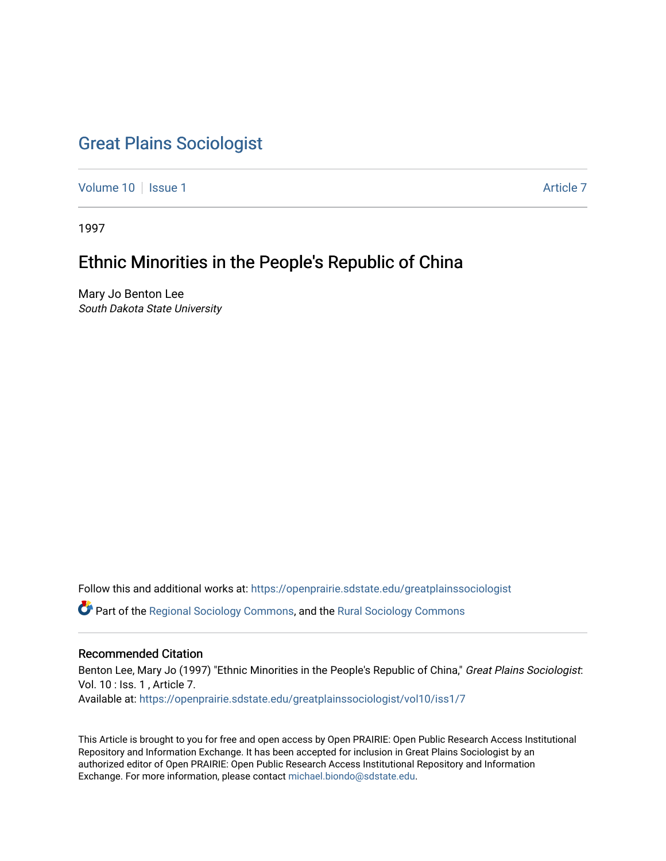# [Great Plains Sociologist](https://openprairie.sdstate.edu/greatplainssociologist)

[Volume 10](https://openprairie.sdstate.edu/greatplainssociologist/vol10) | [Issue 1](https://openprairie.sdstate.edu/greatplainssociologist/vol10/iss1) Article 7

1997

# Ethnic Minorities in the People's Republic of China

Mary Jo Benton Lee South Dakota State University

Follow this and additional works at: [https://openprairie.sdstate.edu/greatplainssociologist](https://openprairie.sdstate.edu/greatplainssociologist?utm_source=openprairie.sdstate.edu%2Fgreatplainssociologist%2Fvol10%2Fiss1%2F7&utm_medium=PDF&utm_campaign=PDFCoverPages) 

Part of the [Regional Sociology Commons](http://network.bepress.com/hgg/discipline/427?utm_source=openprairie.sdstate.edu%2Fgreatplainssociologist%2Fvol10%2Fiss1%2F7&utm_medium=PDF&utm_campaign=PDFCoverPages), and the [Rural Sociology Commons](http://network.bepress.com/hgg/discipline/428?utm_source=openprairie.sdstate.edu%2Fgreatplainssociologist%2Fvol10%2Fiss1%2F7&utm_medium=PDF&utm_campaign=PDFCoverPages) 

# Recommended Citation

Benton Lee, Mary Jo (1997) "Ethnic Minorities in the People's Republic of China," Great Plains Sociologist: Vol. 10 : Iss. 1 , Article 7. Available at: [https://openprairie.sdstate.edu/greatplainssociologist/vol10/iss1/7](https://openprairie.sdstate.edu/greatplainssociologist/vol10/iss1/7?utm_source=openprairie.sdstate.edu%2Fgreatplainssociologist%2Fvol10%2Fiss1%2F7&utm_medium=PDF&utm_campaign=PDFCoverPages)

This Article is brought to you for free and open access by Open PRAIRIE: Open Public Research Access Institutional Repository and Information Exchange. It has been accepted for inclusion in Great Plains Sociologist by an authorized editor of Open PRAIRIE: Open Public Research Access Institutional Repository and Information Exchange. For more information, please contact [michael.biondo@sdstate.edu.](mailto:michael.biondo@sdstate.edu)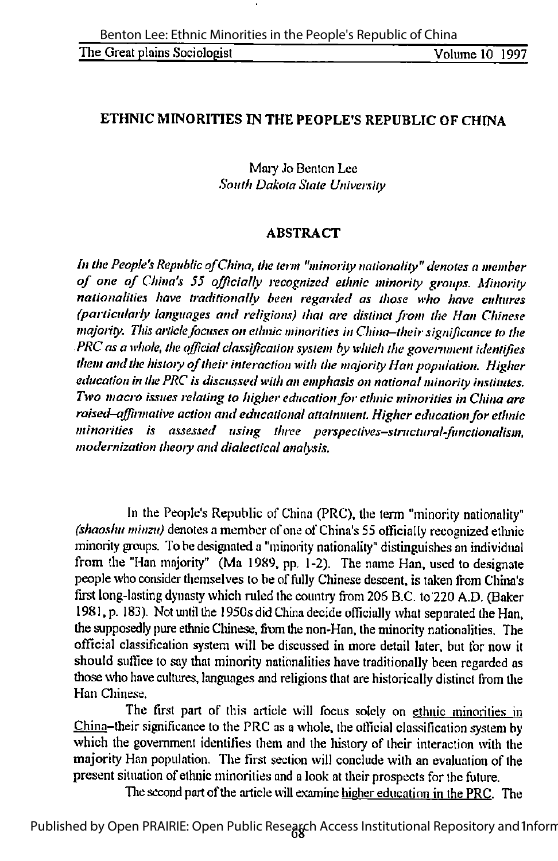# ETHNIC MINORITIES IN THE PEOPLE'S REPUBLIC OF CHINA

Maiy Jo Benlon Lee South Dakota State University

## **ABSTRACT**

In the People's Republic of China, the term "minority nationality" denotes a member of one of China's 55 officially recognized ethnic minority groups. Minority nationalities have traditionally been regarded as those who have cultures (particularly languages and religions) that are distinct from the Han Chinese majority. This article focuses on ethnic minorities in China-their significance to the PRC as a whole, the official classification system by which the government identifies them and the history of their interaction with the majority Han population. Higher education in the PRC is discussed with an emphasis on national minority institutes. Two macro issues relating to higher education for ethnic minorities in China are raised–affirmative action and educational attainment. Higher education for ethnic minorities is assessed using three perspeclivcs-structural-functionalism, modernization theory and dialectical analysis.

In the People's Republic of China (PRC), the term "minority nationality" (shaoshu minzu) denotes a member of one of China's 55 officially recognized ethnic minority groups. To be designated a "minority nationality" distinguishes an individual from the "Han majority" (Ma 1989, pp. 1-2). The name Han, used to designate peoplewho consider themselves to be of hilly Chinese descent, is taken from China's first long-lasting dynasty which ruled the country from 206 B.C. to 220 A.D. (Baker 1981, p. 183). Not until the 1950s did China decide officially what separated the Han, the supposedly pure ethnic Chinese, from the non-Han, the minority nationalities. The official classification system will be discussed in more detail later, but for now it should suffice to say that minority nationalities have traditionally been regarded as those who have cultures, languages and religions that are historically distinct from the Han Chinese.

The first part of this article will focus solely on ethnic minorities in China-their significance to the PRC as a whole, the official classification system by which the government identifies them and the history of their interaction with the majority Han population. The first section will conclude with an evaluation of the present situation of ethnic minorities and a look at their prospects for the future.

The second part of the article will examine higher education in the PRC. The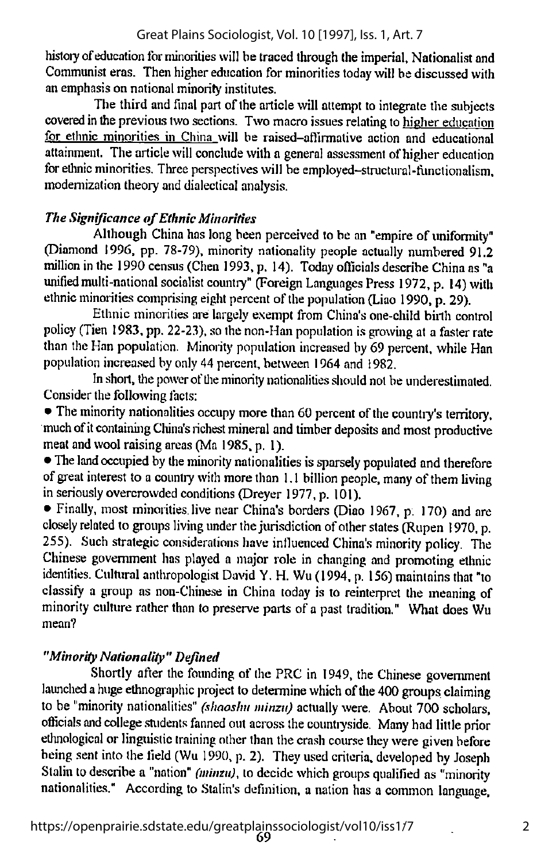history of education for minorities will be traced through the imperial. Nationalist and Communist eras. Then higher education for minorities today will be discussed with an emphasis on national minority institutes.

The third and final part of the articlewill attempt to integrate the subjects covered in the previous two sections. Two macro issues relating to higher education for ethnic minorities in China will be raised-affirmative action and educational attainment. The article will conclude with a general assessment of higher education for ethnic minorities. Three perspectives will be employed-structural-functionalism, modernization theoryand dialectical analysis.

# **The Significance of Ethnic Minorities**

Although China has long been perceived to be an "empire of uniformity" (Diamond 1996, pp. 78-79), minority nationality people actually numbered 91.2 million in the 1990 census (Chen 1993, p. 14). Today officials describe China as "a unified multi-national socialist country" (Foreign Languages Press 1972, p. 14) with ethnic minorities comprising eight percent of the population (Liao 1990, p. 29).

Ethnic minorities are largely exempt from China's one-child birth control policy (Tien 1983, pp. 22-23), so the non-Han population is growing at a faster rate than the Han population. Minority population increased by 69 percent, while Han population increased by only 44 percent, between 1964 and 1982.

In short, the power of the minority nationalities should not be underestimated. Consider the following facts:

• The minority nationalities occupy more than 60 percent of the country's territory, much of it containing China's richest mineral and timber deposits and most productive meat and wool raising areas (Ma 1985, p. 1).

• The land occupied by the minority nationalities is sparsely populated and therefore of great interest to a country with more than  $1.1$  billion people, many of them living in seriously overcrowded conditions (Dreyer 1977, p. 101).

• Finally, most minorities live near China's borders (Diao 1967, p. 170) and are closely related to groups living under the jurisdiction of other states (Rupen 1970, p. 255). Such strategic considerations have influenced China's minority policy. The Chinese government has played a major role in changing and promoting ethnic identities. Cultural anthropologist David Y. H. Wu (1994, p. 155) maintains that "to classify a group as non-Chinese in China today is to reinterpret the meaning of minority culture rather than to preserve parts of a past tradition." What does Wu mean?

# "Minority Nationality" Defined

Shortly after the founding of the PRC in 1949, the Chinese government launched a huge ethnographic project to determine which of the 400 groups claiming to be "minority nationalities" (shaoshu minzu) actually were. About 700 scholars, officials and college students fanned out across the countryside. Many had little prior ethnological or linguistic training other than the crash course they were given before being sent into the field (Wu 1990, p. 2). They used criteria, developed by Joseph Stalin to describe a "nation" (minzu), to decide which groups qualified as "minority nationalities." According to Stalin's definition, a nation has a common language,

2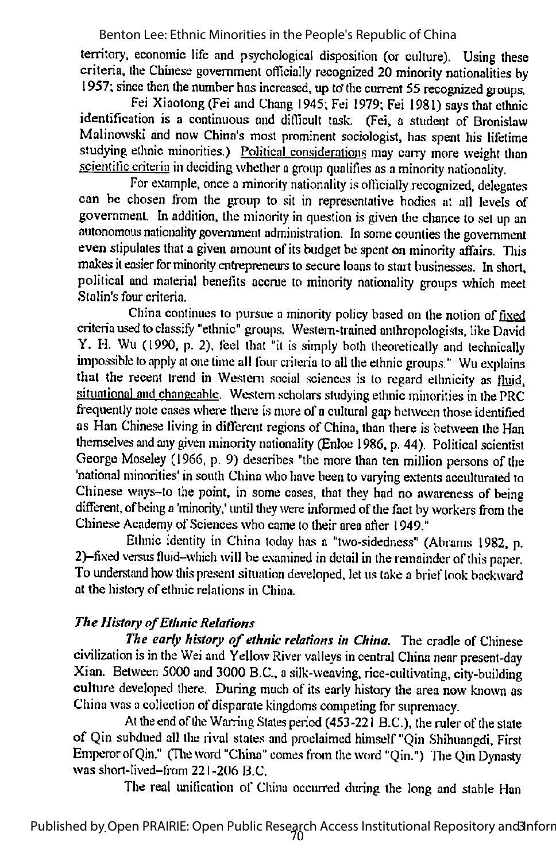lerritory, economic life and psychological disposition (or culture). Using these criteria, the Chinese government officially recognized 20 minority nationalities by 1957; since then the number has increased, up to the current 55 recognized groups.

Fei Xiaotong (Fei and Chang 1945; Fei 1979; Fei 1981) says that ethnic identification is a continuous and difficult task. (Fei, a student of Bronislaw Malinowski and now China's most prominent sociologist, has spent his lifetime studying ethnic minorities.) Political considerations may carry more weight than scientific criteria in deciding whether a group qualifies as a minority nationality.

For example, once a minority nationality is officially recognized, delegates can be chosen from the group to sit in representative bodies at all levels of government. In addition, the minority in question is given the chance to set up an autonomous nationality government administration. In some counties the government even stipulates that a given amount of its budget be spent on minority affairs. This makes it easier for minority entrepreneurs to secure loans to start businesses. In short, political and material benefits accrue to minority nationality groups which meet Stalin's four criteria.

China continues to pursue a minority policy based on the notion of fixed criteria used toclassify "ethnic" groups. Western-trained anthropologists, like David Y. H. Wu (1990, p. 2), feel that "it is simply both theoretically and technically impossible to apply at one time all four criteria to all the ethnic groups." Wu explains that the recent trend in Western social sciences is to regard ethnicity as fluid. situational and changeable. Western scholars studying ethnic minorities in the PRC frequently note cases where there is more of a cultural gap between those identified as Han Chinese living in different regions of China, than there is between the Han themselves and any given minority nationality (Enloe 1986, p. 44). Political scientist George Moseley (1966, p. 9) describes "the more than ten million persons of the 'national minorities' in south China who have been to varying extents acculturated to Chinese ways-to the point, in some cases, that they had no awareness of being different, of being a 'minority,' until they were informed of the fact by workers from the Chinese Academy of Sciences who came to their area after 1949."

Ethnic identity in China today has a "two-sidedness" (Abrams 1982, p. 2)-fixed versus fluid-which will be examined in detail in the remainder of this paper. To understand how this present situation developed, let us take a brief look backward at the history of ethnic relations in China.

# The History of Ethnic Relations

The early history of ethnic relations in China. The cradle of Chinese civilization is in the Wei and Yellow River valleys in central China near present-day Xian. Between 5000 and 3000 B.C., asilk-weaving, rice-cultivating, city-building culture developed there. During much of its early history the area now known as China was a collection of disparate kingdoms competing for supremacy.

At the end of the Warring States period  $(453-221)$  B.C.), the ruler of the state of Qin subdued all the rival states and proclaimed himself "Qin Shihuangdi, First Emperor of Qin." (The word "China" comes from the word "Qin.") The Qin Dynasty was short-lived-from  $221-206$  B.C.

The real unification of China occurred during the long and stable Han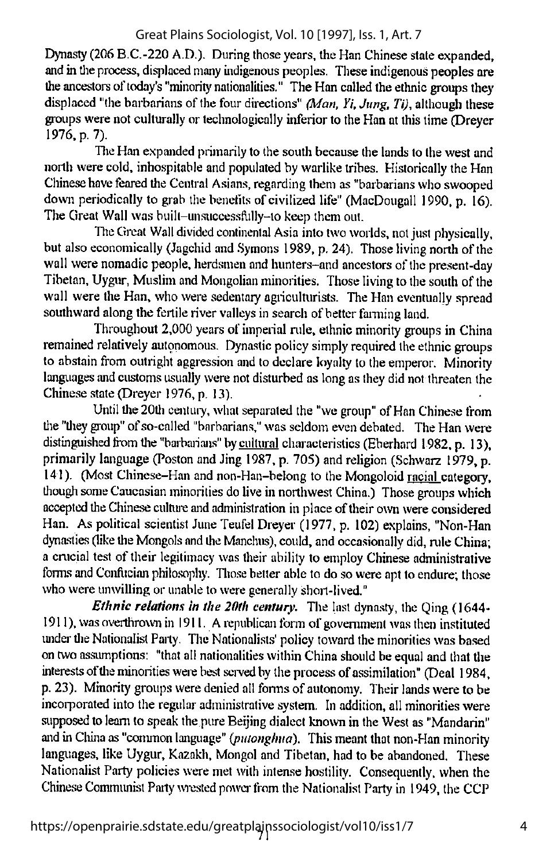Dynasty (206 B.C.-220 A.D.). During those years, the Han Chinese state expanded, and intlie process, displaced many indigenous peoples. These indigenous peoples are the ancestors of today's "minority nationalities." The Han called the ethnic groups they displaced "the barbarians of the four directions"  $(Man, Yi, Jung, Ti)$ , although these groups werenot culturally or technologically inferiorto theHanat thistime(Dreyer 1976, p. 7).

The Han expanded primarily to the south because the lands to the west and north were cold, inhospitable and populated by warlike tribes. Historically the Han Chinese have feared the Central Asians, regarding them as "barbarians who swooped down periodically to grab the benefits of civilized life" (MacDougall 1990, p. 16). The Great Wall was built-unsuccessftilly-to keep them out.

The Great Wall divided continental Asia into two worlds, not just physically, but also economically (Jagchid and Symons 1989, p. 24). Those living north of the wall were nomadic people, herdsmen and hunters-and ancestors of the present-day Tibetan, Uygur, Muslim and Mongolian minorities. Those living tothesouth of the wall were the Han, who were sedentary agriculturists. The Han eventually spread southward along the fertile river valleys in search of better farming land.

Throughout 2,000 years of imperial nile, ethnic minority groups in China remained relatively autonomous. Dynastic policy simply required the ethnic groups to abstain from outright aggression and to declare loyalty to the emperor. Minority languages and customs usually were not disturbed as long as they did not threaten the Chinese state (Dreyer 1976, p. 13).

Until the 20th century, what separated the "we group" of Han Chinese from tlie "tliey group"ofso-called "barbarians,"was seldom even debated. The Han were distinguished from the "barbarians" by cultural characteristics (Eberhard 1982, p. 13), primarily language (Poston and Jing 1987, p. 705) and religion (Schwarz 1979, p. 141). (Most Chinese-Han and non-Han-belong to the Mongoloid racial category, though some Caucasian minorities dolive in northwest China.) Those groups which accepted the Chinese culture and administration in place of their own were considered Han. As political scientist June Teufel Dreyer (1977, p. 102) explains, "Non-Han dynasties (like the Mongols and the Manchus), could, and occasionally did, rule China; a crucial test of their legitimacy wastheir ability to employ Chinese administrative forms and Confucian philosophy. Those better able to do so were apt to endure; those who were unwilling or unable to were generally short-lived."

Ethnic relations in the 20th century. The last dynasty, the Qing (1644-1911), was overthrown in 1911. A republican form of government was then instituted under the Nationalist Party. The Nationalists' policy toward the minorities was based ontwo assumptions: "that all nationalities within China should be equal and that the interests of the minorities were best served by the process of assimilation" (Deal 1984, p. 23). Minority groups were denied all forms of autonomy. Their lands were to be incorporated into the regular administrative system. In addition, all minorities were supposed to learn to speak the pure Beijing dialect known in the West as "Mandarin" and in China as "common language" (putonghua). This meant that non-Han minority languages, like Uygur, Kazakh, Mongol and Tibetan, had to be abandoned. These Nationalist Party policies were met with intense hostility. Consequently, when the Chinese Communist Party wrested power from the Nationalist Party in 1949, the CCP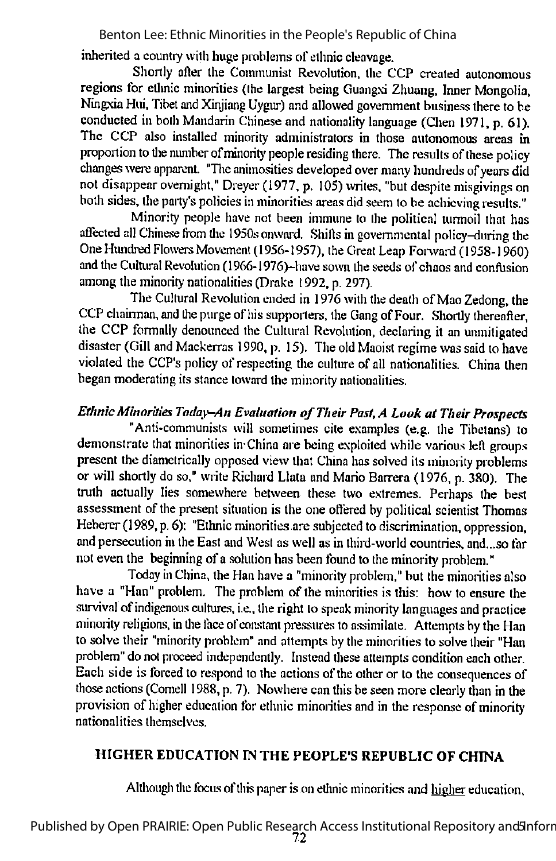inherited a countiy with huge problems of ethnic cleavage.

Shortly after the Communist Revolution, the CCP created autonomous regions for etlmic minorities (the largest being Guangxi Zhuang. Inner Mongolia, Ningxia Hui, Tibet and Xinjiang Uygur) and allowed government business there to be conducted in both Mandarin Chinese and nationality language (Chen 1971, p. 61). The CCP also installed minority administrators in those autonomous areas in proportion to the number of minority people residing there. The results of these policy changes were apparent. "The animosities developed over many hundreds of years did not disappear overnight," Dreyer (1977, p. 105) writes, "but despite misgivings on both sides, the party's policies in minorities areas did seem to be achieving results."

Minority people have not been immune to the political turmoil that has affected all Chinese from the 1950s onward. Shifts in governmental policy-during the One Hundred Flowers Movement (1956-1957), the Great Leap Forward (1958-1960) and the Cultural Revolution (1966-1976)-have sown the seeds of chaos and confusion among the minority nationalities (Drake 1992, p. 297).

The Cultural Revolution ended in 1976 with the death of Mao Zedong, the CCP chairman, and the purge of his supporters, the Gang of Four. Shortly thereafter, the CCP formally denounced the Cultural Revolution, declaring it an unmitigated disaster (Gill and Mackerras 1990, p. 15). The old Maoist regime was said to have violated the CCP's policy of respecting the culture of all nationalities. China then began moderating its stance toward the minority nationalities.

# Ethnic Minorities Today-An Evaluation of Their Past, A Look at Their Prospects

"Anti-communists will sometimes cite examples (e.g. the Tibetans) to demonstrate that minorities in China are being exploited while various left groups present the diametrically opposed view that China has solved its minority problems or will shortly do so," write Richard Llata and Mario Barrera (1976, p. 380). The truth actually lies somewhere between these two extremes. Perhaps the best assessment of the present situation is the one offered by political scientist Thomas Heberer (1989, p. 6): "Ethnic minorities are subjected to discrimination, oppression, and persecution in the East and West as well as in third-world countries, and...so far not even the beginning of a solution has been found to the minority problem."

Today in China, the Han have a "minority problem," but the minorities also have a "Han" problem. The problem of the minorities is this: how to ensure the survival ofindigenous cultures, i.e., the right to speak minority languages and practice minority religions, in the face of constant pressures to assimilate. Attempts by the Han to solve their "minority problem" and attempts by the minorities to solve their "Han problem" do not proceed independently. Instead these attempts condition each other. Each side is forced to respond to the actions of the other or to the consequences of those actions (Comell 1988, p. 7). Nowhere can this be seen more clearly than in the provision of higher education for ethnic minorities and in the response of minority nationalities themselves.

# HIGHER EDUCATION IN THE PEOPLE'S REPUBLIC OF CHINA

Although the focus of this paper is on ethnic minorities and higher education.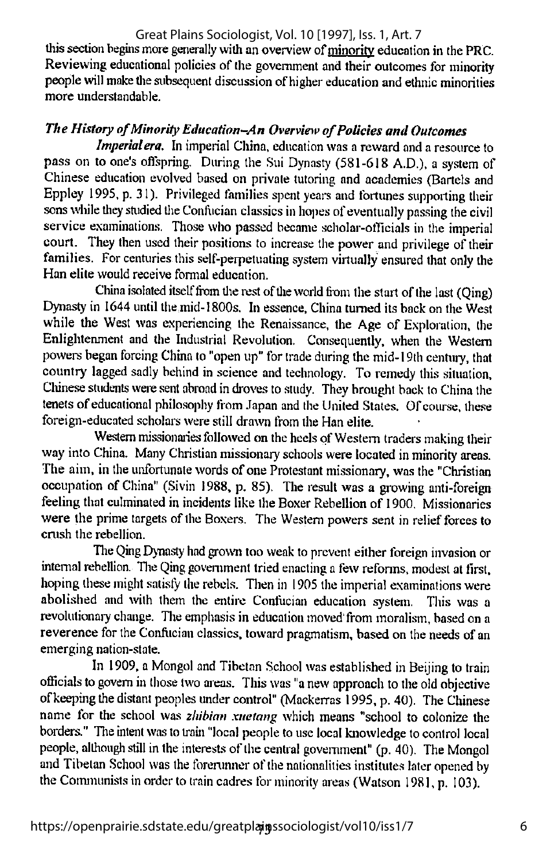#### this section begins more generally with an overview of minority education in the PRC. Reviewing educational policies of the government and their outcomes for minority people will make the subsequent discussion of higher education and ethnic minorities more understandable. Great Plains Sociologist, Vol. 10 [1997], Iss. 1, Art. 7

# The History of Minority Education-An Overview of Policies and Outcomes

Imperial era. In imperial China, education was a reward and a resource to pass on to one's oflspring. During the Sui Dynasty (581-618 A.D.), a system of Chinese education evolved based on private tutoring and academies (Bartels and Eppley 1995, p. 31). Privileged families spent years and fortunes supporting their sons while they studied the Confucian classics in hopes of eventually passing the civil service examinations. Those who passed became scholar-officials in the imperial court. They then used their positions to increase the power and privilege of their families. For centuries this self-perpetuating system virtually ensured that only the Han elite would receive formal education.

China isolated itself from the rest of the world from the start of the last (Qing) Dynasty in 1644 until the mid-1800s. In essence, China turned its back on the West while the West was experiencing the Renaissance, the Age of Exploration, the Enlightenment and the Industrial Revolution. Consequently, when the Western powers began forcing China to "open up" for trade during the mid-19th century, that country lagged sadly behind in science and technology. To remedy this situation, Chinese students were sent abroad in droves to study. They brought back to China the tenets of educational philosophy from Japan and the United States. Of course, these foreign-educated scholars were still drawn from the Han elite.

Western missionaries followed on the heels of Western traders making their way into China. Many Christian missionary schools were located in minority areas. The aim, in the unfortunate words of one Protestant missionary, was the "Christian occupation of China" (Sivin 1988, p. 85). The result was a growing anti-foreign feeling that culminated in incidents like the Boxer Rebellion of 1900. Missionaries were the prime targets of the Boxers. The Western powers sent in relief forces to crush the rebellion.

The Oing Dynasty had grown too weak to prevent either foreign invasion or internal rebellion. Tlie Qing government tried enacting a few reforms, modest atfirst, hoping these might satisfy the rebels. Then in 1905 the imperial examinations were abolished and with them the entire Confucian education system. This was a revolutionary change. The emphasis in education moved from moralism, based on a reverence for the Confucian classics, toward pragmatism, based on the needs of an emerging nation-state.

In 1909, a Mongol and Tibetan School was established in Beijing to train officials to govern in those two areas. This was "a new approach to the old objective of keeping the distant peoples under control" (Mackerras 1995, p. 40). The Chinese name for the school was zhibian xuetang which means "school to colonize the borders." The intent was to train "local people to use local knowledge to control local people, although still in the interests of the central government" (p. 40). The Mongol and Tibetan School was the forerunner of the nationalities institutes later opened by the Communists in order to train cadres for minority areas (Watson 1981, p. 103).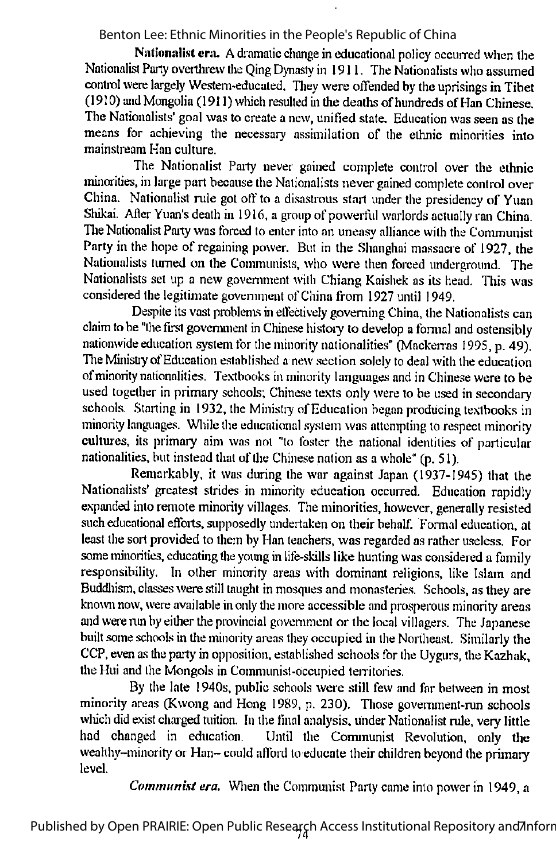Nationalist cra. A dramatic change in educational policy occurred when the Nationalist Party overthrew the Oing Dynasty in 1911. The Nationalists who assumed control were largely Western-educated. They were offended by the uprisings in Tibet (1910) and Mongolia (1911) which resulted in the deaths of hundreds of Han Chinese. The Nationalists' goal was to create a new, unified state. Education was seen as the means for achieving the necessary assimilation of the ethnic minorities into mainstream Han culture.

The Nationalist Party never gained complete control over the ethnic minorities, in large part because the Nationalists nevergained complete control over China. Nationalist rule got off to a disastrous start under the presidency of Yuan Shikai. After Yuan's death in 1916, a group of powerful warlords actually ran China. The Nationalist Party was forced to enter into an uneasy alliance with the Communist Party in the hope of regaining power. But in the Shanghai massacre of 1927, the Nationalists turned on the Communists, who were then forced underground. The Nationalists set up a new government with Chiang Kaishek as its head. This was considered the legitimate government of China from 1927 until 1949.

Despite its vast problems in effectively governing China, the Nationalists can claim to be "the first government in Chinese history to develop a formal and ostensibly nationwide education system for the minority nationalities" (Mackerras 1995, p. 49). The Ministry of Education established a new section solely to deal with the education of minority nationalities. Textbooks in minority languages and in Chinese were to be used together in primary schools; Chinese texts only were to be used in secondary schools. Starting in 1932, the Ministry of Education began producing textbooks in minority languages. Wliile the educational system was attempting to respect minority cultures, its primary aim was not "to foster the national identities of particular nationalities, but instead that of the Chinese nation as a whole"  $(p, 51)$ .

Remarkably, it was during the war against Japan (1937-1945) that the Nationalists' greatest strides in minority education occurred. Education rapidly expanded into remote minority villages. The minorities, however, generally resisted such educational efforts, supposedly undertaken on their behalf. Formal education, at least the sort provided to them by Han teachers, was regarded as rather useless. For some minorities, educating the young in life-skills like hunting was considered a family responsibility. In other minority areas with dominant religions, like Islam and Buddhism, classes were still taught in mosques and monasteries. Schools, as they are known now, were available in only the more accessible and prosperous minority areas and were run by either the provincial government or the local villagers. The Japanese built some schools in the minority areas they occupied in the Northeast. Similarly the CCP, even as the party in opposition, established schools for the Uygurs, the Kazhak, the Hui and the Mongols in Communist-occupied territories.

By the late 1940s. public schools were still few and far between in most minority areas (Kwong and Hong 1989, p. 230). Those government-run schools which did exist charged tuition. In the final analysis, under Nationalist rule, very little had changed in education. Until the Communist Revolution, only the wealthy-minority or Han- could afford to educate their children beyond the primary level.

Communist era. When the Communist Party came into power in 1949, a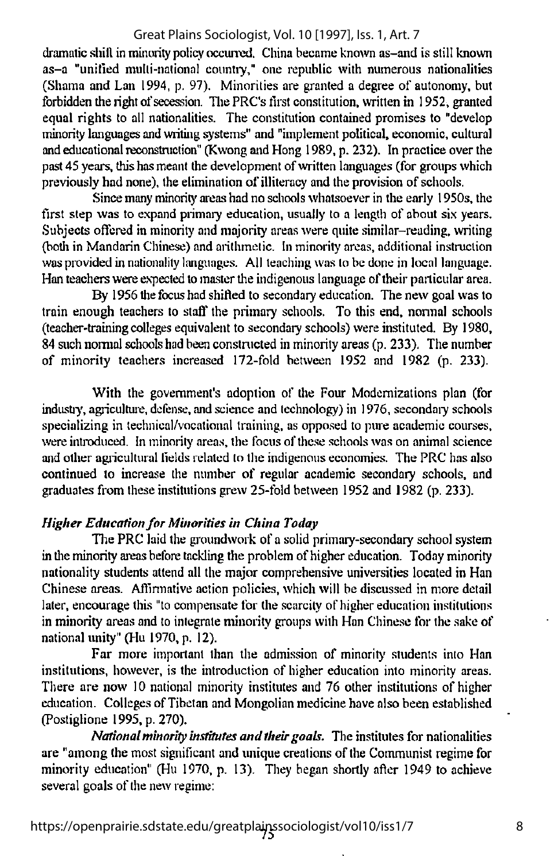dramatic shift in minority policy occurred. China became known as-and is still known as-a "unified multi-national countiy," one republic with numerous nationalities (Shama and Lan 1994, p. 97). Minorities are granted a degree of autonomy, but forbidden the right of secession. The PRC's first constitution, written in 1952, granted equal rights to all nationalities. The constitution contained promises to "develop minority languages and writing systems" and "implement political, economic, cultural and educational reconstruction" (Kwong and Hong 1989, p. 232). In practice over the past45 years, thishas meant the development of written languages (for groups which previously had none), the elimination of illiteracy and the provision of schools.

Since many minority areas had no schools whatsoever in the early 1950s, the first step was to expand primary education, usually to a length of about six years. Subjects offered in minority and majority areas were quite similar-reading, writing (botliin Mandarin Chinese) and arithmetic. In minority areas, additional instruction was provided in nationality languages. All teaching was to be done in local language. Han teachers were expected to master the indigenous language of their particular area.

By 1956 the focus had shifted to secondary education. The new goal was to train enough teachers to slaft' the primary schools. To this end, normal schools (teacher-training colleges equivalent to secondary schools) were instituted. By 1980, 84 such normal schools had been constructed in minority areas (p. 233). The number of minority teachers increased 172-fold between 1952 and 1982 (p. 233).

With the government's adoption of the Four Modernizations plan (for industry, agriculture, defense, and science and technology) in 1976, secondary schools specializing in technical/vocational training, as opposed to pure academic courses, were introduced. In minority areas, the focus of these schools was on animal science and other agricultural fields related to the indigenous economies. The PRC has also continued to increase the number of regular academic secondary schools, and graduates from these institutions grew 25-fold between 1952 and 1982 (p. 233).

# Higher Education for Minorities in China Today

The PRC laid the groundwork of a solid primary-secondary school system in the minority areas before tackling the problem of higher education. Today minority nationality students attend all the major comprehensive universities located in Han Chinese areas. Affirmative action policies, which will be discussed in more detail later, encourage this "to compensate for the scarcity of higher education institutions in minority areas and to integrate minority groups with Han Chinese for the sake of national unity" (Hu 1970, p. 12).

Far more important than the admission of minority students into Han institutions, however, is the introduction of higher education into minority areas. There are now 10 national minority institutes and 76 other institutions of higher education. Colleges of Tibetan and Mongolian medicine have also been established (Postiglione 1995, p. 270).

National minority institutes and their goals. The institutes for nationalities are "among the most significant and unique creations of the Communist regime for minority education" (Hu 1970, p. 13). They began shortly after 1949 to achieve several goals of the new regime: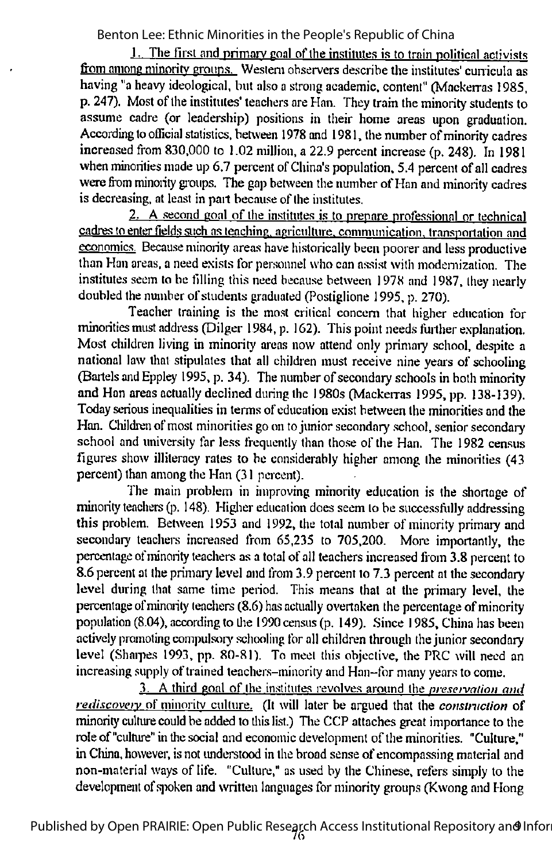$1.$  The first and primary goal of the institutes is to train political activists from among minority groups. Western observers describe the institutes' curricula as having "aheavy ideological, but also a strong academic, content" (Mackerras 1985, p. 247). Most of the institutes' teachers are Han. They train the minority students to assume cadre (or leadership) positions in their home areas upon graduation. According to official statistics, between 1978 and 1981, the number of minority cadres increased from 830,000 to 1.02 million, a 22.9 percent increase (p. 248). In 1981 when minorities made up 6.7 percent of China's population, 5.4 percent of all cadres were from minority groups. The gap between the number of Han and minority cadres is decreasing, at least in part because of the institutes.

2. A second goal of the institutes is to prepare professional or technical cadres to enter fields such as teaching, agriculture, communication, transportation and economics. Because minority areas have historically been poorer and less productive than Han areas, a need exists for personnel who can assist with modernization. The institutes seem to be filling this need because between 1978 and 1987, they nearly doubled the number of students graduated (Postiglione 1995, p. 270).

Teacher training is the most critical concern that higher education for minorities must address (Dilger 1984, p. 162). This point needs further explanation. Most children living in minority areas now attend only primary school, despite a national law that stipulates that all children must receive nine years of schooling (Bartels and Eppley 1995, p. 34). The number of secondary schools in both minority and Han areas actually declined during the 1980s (Mackerras 1995, pp. 138-139). Todayserious inequalities in terms of education exist between the minorities and the Han. Children of most minorities go on to junior secondary school, senior secondary school and university far less frequently than those of the Han. The 1982 census figures show illiteracy rates to be considerably higher among the minorities (43 percent) than among the Han (31 percent).

The main problem in improving minority education is the shortage of minority teachers (p. 148). Higher education does seem to be successfully addressing this problem. Between 1953 and 1992, the total number of minority primary and secondary teachens increased from 65,235 to 705,200. More importantly, the percentage of minority teachers as a total of all teachers increased from 3.8 percent to 8.6 percent at the primary level and from 3.9 percent to 7.3 percent at the secondary level during that same time period. This means that at the primary level, the percentage of minority teachers  $(8.6)$  has actually overtaken the percentage of minority population (8.04), according to the 1990 census (p. 149). Since 1985, China has been actively promoting compulsory schooling for all children through the junior secondary level (Shaipes 1993, pp. 80-81). To meet this objective, the PRC will need an increasing supply of trained teachers-minority and Han-for many years to come.

3. A third goal of the institutes revolves around the nreservaiion and rediscovery of minority culture. (It will later be argued that the construction of minority culture could be added to this list.) The CCP attaches great importance to the role of "culture" in the social and economic development of the minorities. "Culture," in China, however, is not understood in the broad sense of encompassing material and non-material ways of life. "Culture," as used by the Chinese, refers simply to the development of spoken and written languages for minority groups (Kwong and Hong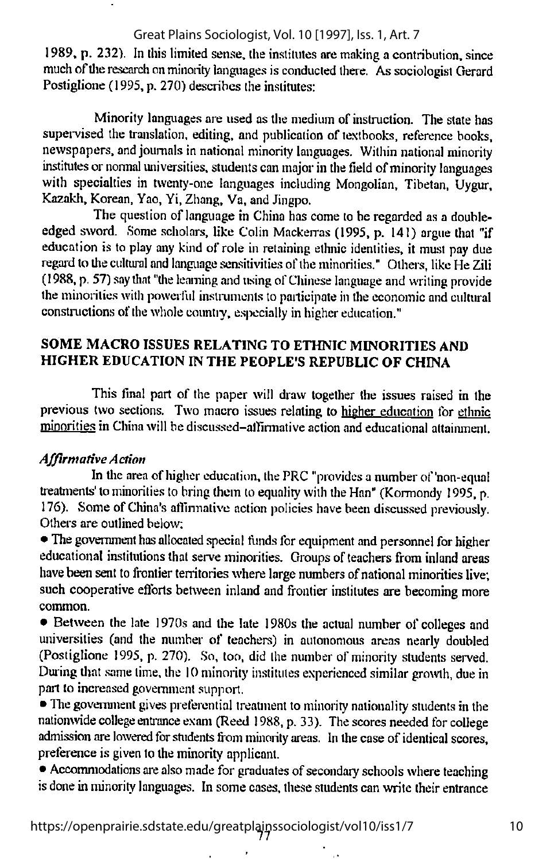1989, p. 232). In this limited sense, the institutes are making a contribution, since much of the research on minority languages is conducted there. As sociologist Gerard Postiglione (1995, p. 270) describes the institutes:

Minority languages are used as the medium of instruction. The state has supervised the translation, editing, and publication of textbooks, reference books, newspapers, and journals in national minority languages. Within national minority institutes or normal universities, students can major in the field of minority languages with specialties in twenty-one languages including Mongolian, Tibetan, Uygur, Kazakh. Korean, Yao, Yi, Zhang, Va, and Jingpo.

The question of language in China has come to be regarded as a doubleedged sword. Some scholars, like Colin Mackerras (1995, p. 141) argue that "if education is to play any kind of role in retaining ethnic identities, it must pay due regard to the cultural and language sensitivities of the minorities." Others, like He Zili (1988, p.57)say lliat "the learning and using ofChinese language and writing provide the minorities with powerful instruments to participate in the economic and cultural constructions of the whole country, especially in higher education."

# SOME MACRO ISSUES RELATING TO ETHNIC MINORITIES AND HIGHER EDUCATION IN THE PEOPLE'S REPUBLIC OF CHINA

This final part of the paper will draw together the issues raised in the previous two sections. Two macro issues relating to higher education for ethnic minorities in China will be discussed-alfimiative action and educational attainment.

## Affirmative Action

In the area of higher education, the PRC "provides a number of 'non-equal treatments' to minorities to bring them to equality with the Han" (Kormondy 1995, p. 176). Some ofChina's afllnnative action policies have been discussed previously. Others are outlined below:

• The government has allocated special funds for equipment and personnel for higher educational institutions that serve minorities. Groups of teachers from inland areas have been sent to frontier territories where large numbers of national minorities live; such cooperative efforts between inland and frontier institutes are becoming more common.

• Between the late 1970s and the late 1980s the actual number of colleges and universities (and the number of teachers) in autonomous areas nearly doubled (Postiglione 1995, p. 270). So, too, did the number of minority students served. During that same lime, the 10 minority institutes experienced similar growth, due in part to increased government support.

• The government gives preferential treatment to minority nationality students in the nationwide college entrance exam (Reed 1988, p.33). The scores needed for college admission are lowered for students from minority areas. In the case of identical scores, preference is given to the minority applicant.

• Accommodations are also made for graduates of secondary schools where teaching is done in minority languages. In some cases, these students can write their entrance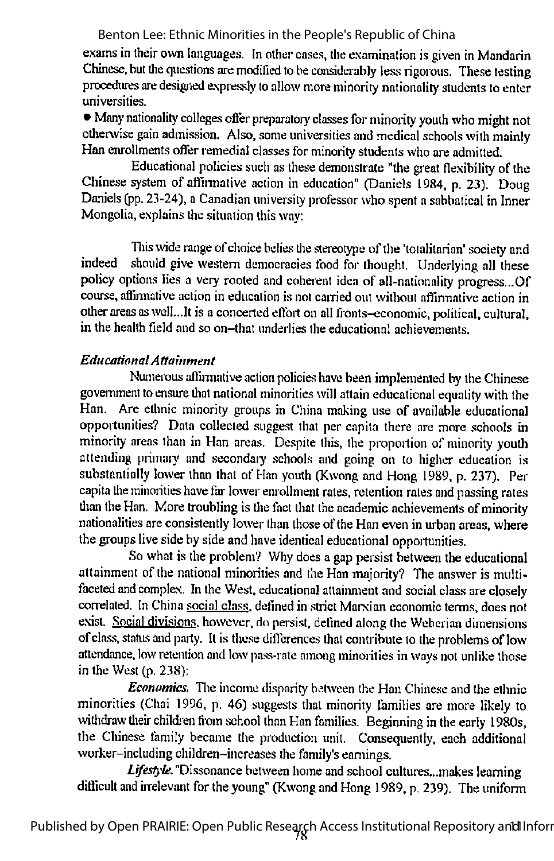exams in their own languages. In other cases, the examination is given in Mandarin Chinese, but tlie questions are modified to be considerably less rigorous. These testing procedures are designed expressly to allow more minority nationality students to enter universities.

• Many nationality colleges offer preparatory classes for minority youth who might not otherwise gain admission. Also, some universities and medical schools with mainly Han enrollments offer remedial classes for minority students who are admitted.

Educational policies such asthese demonstrate "the great flexibility of the Chinese system of affirmative action in education" (Daniels 1984, p. 23). Doug Daniels (pp. 23-24), a Canadian university professor who spent a sabbatical in Inner Mongolia, explains the situation this way:

This wide range of choice belies the stereotype of the 'totalitarian' society and indeed should give western democracies food for thought. Underlying all these policy options lies a very rooted and coherent idea of all-nationality progress...Of course, aflinnative action in education is not earned out without affirmative action in other areas as well...It is a concerted effort on all fronts-economic, political, cultural, in the health field and so on-lhat underlies the educational achievements.

## EducationalAttainment

Numerous affirmative action policies have been implemented by the Chinese government to ensure that national minorities will attain educational equality with the Han. Are ethnic minority groups in China making use of available educational opportunities? Data collected suggest that per capita there are more schools in minority areas than in Han areas. Despite this, the proportion of minority youth attending primary and secondary schools and going on to higher education is substantially lower than that of Han youth (Kwong and Hong 1989, p. 237). Per capita the minorities have far lower enrollment rates, retention rales and passing rates than the Han. More troubling is the fact that the academic achievements of minority nationalities are consistently lower than those of the Han even in urban areas, where the groups live side by side and have identical educational opportunities.

So what is the problem? Why does a gap persist between the educational attainment of the national minorities and the Han majority? The answer is multifaceted and complex. In the West, educational attainment and social class are closely correlated. In China social class, defined in strict Marxian economic terms, does not exist. Social divisions, however, do persist, defined along the Weberian dimensions of class, status and party. It is these differences that contribute to the problems of low attendance, low retention and low pass-rate among minorities in ways not unlike those in the West (p. 238):

Economics. The income disparity between the Han Chinese and the ethnic minorities (Chai 1996, p. 46) suggests that minority families are more likely to withdraw their children from school than Han families. Beginning in the early 1980s, the Chinese family became the production unit. Consequently, each additional worker-including children-increases the family's earnings.

Lifestyle."Dissonance between home and school cultures...makes learning difficult and irrelevant for the young" (Kwong and Hong 1989, p. 239). The uniform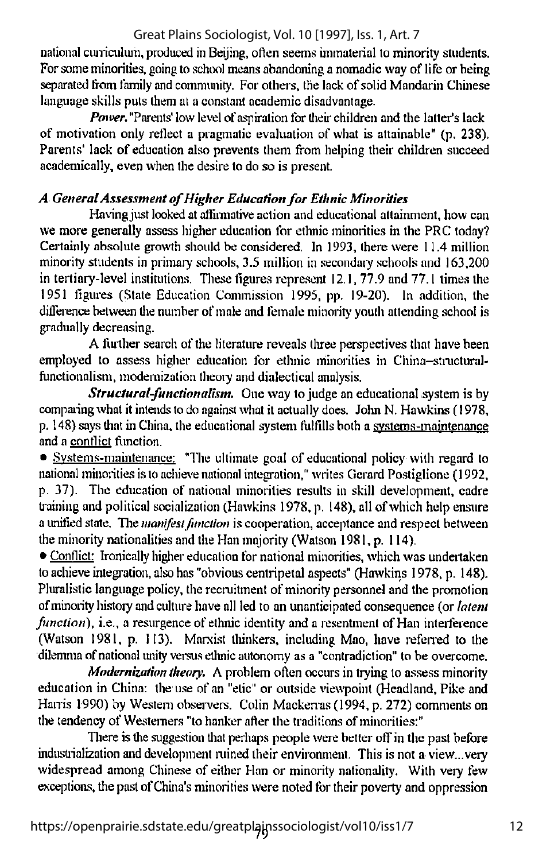national curriculum, produced in Beijing, often seems immaterial to minority students. Forsomeminorities, going to school means abandoning a nomadic way of life or being separated from family and community. For others, the lack of solid Mandarin Chinese language skills puts them at a constant academic disadvantage.

**Power.** "Parents' low level of aspiration for their children and the latter's lack of motivation only reflect a pragmatic evaluation of what is attainable" (p. 238). Parents' lack of education also prevents them from helping their children succeed academically, even when the desire to do so is present.

# A General Assessment of Higher Education for Ethnic Minorities

Having just looked at affirmative action and educational attainment, how can we more generally assess higher education for ethnic minorities in the PRC today? Certainly absolute growth should be considered, In 1993, there were 11.4 million minority students in primary schools, 3.5 million in secondary schools and 163,200 in tertiary-level institutions. These figures represent  $12.1$ , 77.9 and 77.1 times the 1951 figures (Slate Education Commission 1995, pp. 19-20). In addition, the difference between the number of male and female minority youth attending school is gradually decreasing.

A further search of the literature reveals three perspectives that have been employed to assess higher education for ethnic minorities in China-structuralfunctionalism, modernization theory and dialectical analysis.

**Structural-functionalism.** One way to judge an educational system is by compaiing what it intends todo agaiast what it actually does. John N. Hawkins (1978, p. 148) says that in China, the educational system fulfills both a systems-maintenance and a conflict flinction.

• Systems-maintenance: "The ultimate goal of educational policy with regard to national minorities is to achieve national integration," writes Gerard Postiglione (1992, p. 37). The education of national minorities results in skill development, cadre training and political socialization (Hawkins 1978, p. 148), all of which help ensure a unified state. The manifest function is cooperation, acceptance and respect between the minority nationalities and the Han majority (Watson 1981, p. 114).

• Conflict: Ironically higher education for national minorities, which was undertaken toachieve integration, also has "obvious centripetal aspects" (Hawkins 1978, p. 148). Pluralistic language policy, the recruitment of minority personnel and the promotion of minority history and culture have all led to an unanticipated consequence (or *latent*  $function)$ , i.e., a resurgence of ethnic identity and a resentment of Han interference (Watson 1981, p. 113). Marxist thinkers, including Mao, have referred to the dilemma of national unity versus ethnic autonomy as a "contradiction" to be overcome.

Modernization theory. A problem often occurs in trying to assess minority education in China: the use of an "etic" or outside viewpoint (Headland, Pike and Harris 1990) by Western observers. Colin Mackemas (1994, p. 272) comments on the tendency of Westerners "to hanker after the traditions of minorities:"

There is the suggestion that perhaps people were better off in the past before industiialization and development mined their environment. This is not a view...very widespread among Chinese of either Han or minority nationality. With very few exceptions, the past of China's minorities were noted for their poverty and oppression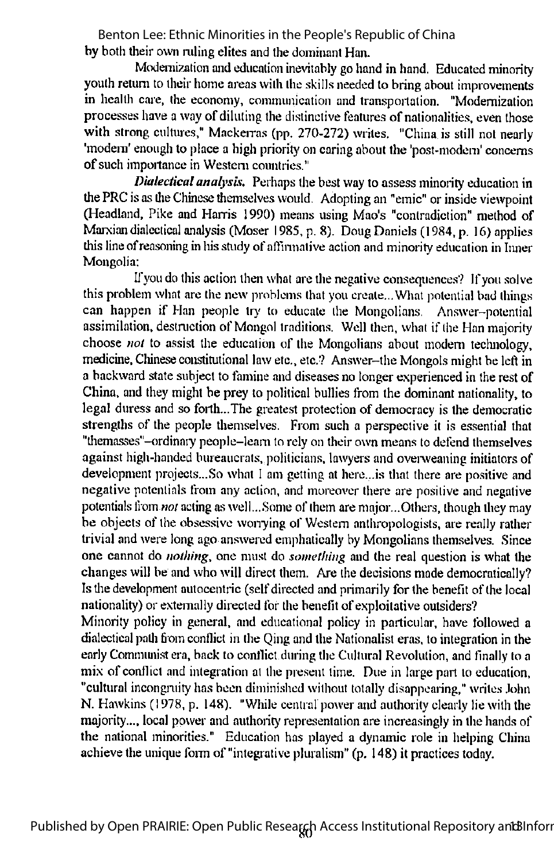by both their own ruling elites and the dominant Han. Benton Lee: Ethnic Minorities in the People's Republic of China

Modernization and education inevitably go hand in hand. Educated minority vouth return to their home areas with the skills needed to bring about improvements in health care, the economy, communication and transportation. "Modernization processes have a wayof diluting the distinctive features of nationalities, even those with strong cultures," Mackerras (pp. 270-272) writes. "China is still not nearly 'modern' enough to place a high priority on caring about the 'post-modem' concerns ofsuch importance in Western countries."

Dialectical analysis. Perhaps the best way to assess minority education in the PRC is as the Chinese themselves would. Adopting an "emic" or inside viewpoint (Headland, Pike and Harris 1990) means using Mao's "contradiction" method of Marxian dialectical analysis (Moser 1985, p. 8). Doug Daniels (1984, p. 16) applies this line of reasoning in his study of affirmative action and minority education in Inner Mongolia:

If you do this action then what are the negative consequences? If you solve this problem what are the new problems that you create...What potential bad things can happen if Han people try to educate the Mongolians. Answer-potential assimilation, destruction of Mongol traditions. Well then, what if the Han majority choose *not* to assist the education of the Mongolians about modern technology, medicine, Chinese constitutional law etc., etc.? Answer-the Mongols might be left in a backward state subject to famine and diseases no longer experienced in the rest of China, and they might be prey to political bullies from the dominant nationality, to legal duress and so forth...The greatest protection of democracy is the democratic strengths of the people themselves. From such a perspective it is essential that "themasses"-ordinary people-learn to rely on their own means to defend themselves against high-handed bureaucrats, politicians, lawyers and overweaning initiators of development projects...So what 1am getting at here...is that there are positive and negative potentials from any action, and moreover there are positive and negative potentials from *not* acting as well...Some of them are major...Others, though they may be objects of the obsessive wonying of Western anthropologists, are really rather trivial and were long ago answered emphatically by Mongolians themselves. Since one cannot do *nothing*, one must do *something* and the real question is what the changes will be and who will direct them. Are the decisions made democratically? Is the development autocentric (self directed and primarily for the benefit of the local nationality) or externally directed for the benefit of exploitative outsiders?

Minority policy in general, and educational policy in particular, have followed a dialectical path from conflict in the Qing and the Nationalist eras, to integration in the early Communist era, back to conflict during the Cultural Revolution, and finally to a mix of conflict and integration at the present time. Due in large part to education, "cultural incongruity has been diminished without totally disappearing," writes John N. Hawkins (1978, p. 148). "While central power and authority clearly lie with the majority..., local power and authority representation are increasingly in the hands of the national minorities." Education has played a dynamic role in helping China achieve the unique form of "integrative pluralism" (p. 148) it practices today.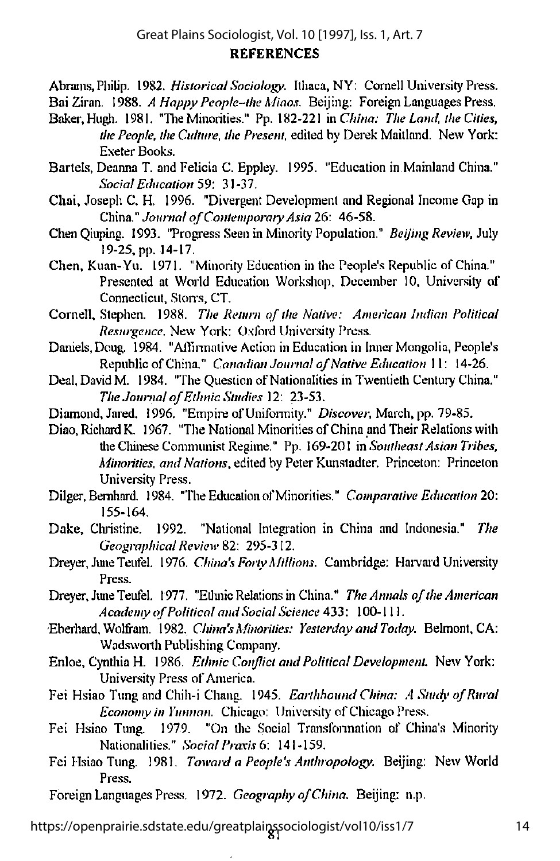Abrams, Philip. 1982. Historical Sociology. Ithaca, NY: Cornell University Press.

Bai Ziran. 1988. A Happy People-the Migos. Beijing: Foreign Languages Press.

- Baker, Hugh. 1981. "The Minorities." Pp. 182-221 in China: The Land, the Cities, the People, the Culture, the Present, edited by Derek Maitland. New York: Exeter Books.
- Bartels, Deanna T. and Felicia C. Eppley. 1995. "Education in Mainland China." Social Education 59: 31-37.
- Chai, Joseph C. H. 1996. "Divergent Development and Regional Income Gap in China." Journal of Contemporary Asia 26: 46-58.
- Chen Oiuping. 1993. "Progress Seen in Minority Population." Beijing Review, July 19-25, pp. 14-17.
- Chen, Kuan-Yu. 1971. "Minority Education in the People's Republic of China." Presented at World Education Workshop, December 10, University of Connecticut, Stons, CT.
- Cornell, Stephen. 1988. The Return of the Native: American Indian Political Resurgence. New York: Oxford University Press.
- Daniels. Doug. 1984. "All'imnative Action in Education in Inner Mongolia, People's Republic of China." Canadian Journal of Native Education 11: 14-26.
- Deal, David M. 1984. "The Ouestion of Nationalities in Twentieth Century China." The Journal of Ethnic Studies 12: 23-53.
- Diamond, Jared. 1996. "Empire of Uniformity." Discover, March, pp. 79-85.

Diao, Richard K. 1967. "The National Minorities of China and Their Relations with the Chinese Communist Regime." Pp. 169-201 in Southeast Asian Tribes, Minorities, and Nations, edited by Peter Kunstadter. Princeton: Princeton University Press.

- Dilger, Bemhard. 1984. "The Education of Minorities." Comparative Education 20: 155-164.
- Dake, Christine. 1992. "National Integration in China and Indonesia." The Geographical Review 82: 295-312.
- Dreyer, June Teufel. 1976. China's Forty Millions. Cambridge: Harvard University Press.
- Dreyer, June Teufel. 1977. "Ethnic Relations in China." The Annals of the American Academy of Political and Social Science 433: 100-111.
- Ebeihard, Wolfram. 1982. China's Minorities: YesterdayandToday. Belmont, CA: Wadsworth Publishing Company.
- Enloe, Cynthia H. 1986. Ethnic Conflict and Political Development. New York: University Press of America.
- Fei Hsiao Tung and Chih-i Chang. 1945. Earthhound China: A Study of Rural Economy in Yunnan. Chicago: University of Chicago Press.
- Fei Hsiao Tung. 1979. "On the Social Transfonnation of China's Minonty Nationalities." Social Praxis 6: 141-159.
- Fei Hsiao Tung. 1981. Toward a People's.Anthropology. Beijing: New World Press.

Foreign Languages Press. 1972. Geography of China. Beijing: n.p.

81 https://openprairie.sdstate.edu/greatplainssociologist/vol10/iss1/7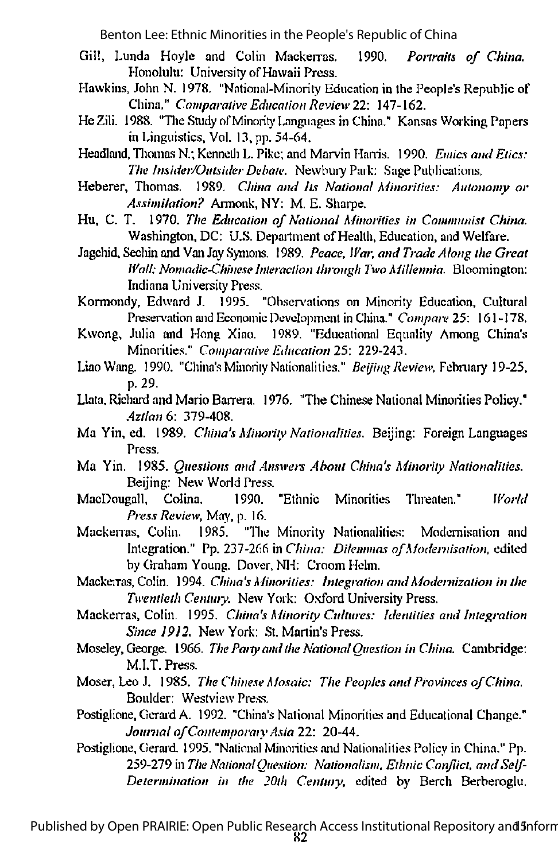- Gill, Lunda Hoyle and Colin Mackerras. 1990. Portraits of China. Honolulu: University of Hawaii Press.
- Hawkins, John N. 1978. "National-Minority Education in the People's Republic of China." Comparative Education Review 22: 147-162.
- He Zili. 1988. "The Study of Minority Languages in China." Kansas Working Papers in Linguistics, Vol. 13,pp. 54-64.
- Headland, Thomas N.; Kenneth L. Pike; and Marvin Harris. 1990. Emics and Etics: The Insider/Outsider Debate. Newbury Park: Sage Publications.
- Heberer, Thomas. 1989. China and Its National Minorities: Autonomy or Assimilation? Armonk, NY: M. E. Sharpe.
- Hu, C. T. 1970. The Education of National Minorities in Communist China. Washington, DC: U.S. Department of Health, Education, and Welfare.
- Jagchid, Sechin and Van Jay Symons. 1989. Peace, War, and Trade Along the Great Wall: Nomadic-Chinese Interaction through Two Millennia. Bloomington: Indiana University Press.
- Kormondy. Edward J. 1995. "Observations on Minority Education. Cultural Preservation and Economic Development in China." Compare 25: 161-178.
- Kwong, Julia and Hong Xiao. 1989. "Educational Equality Among China's Minorities." Comparative Education 2S: 229-243.
- Liao Wang. 1990. "China's Minority Nationalities." Beijing Review, February 19-25, p. 29.
- Llata, Richard and Mario Barrera. 1976. "The Chinese National Minorities Policy." Aztlan 6: 379-408.
- Ma Yin, ed. 1989. China's Minority Nationalities. Beijing: Foreign Languages Press.
- Ma Yin. 1985. Questions and Answers About China's Minority Nationalities. Beijing: New World Press.
- MacDougall. Colina. 1990. "Ethnic Minorities Threaten." World Press Review, May, p. 16.
- Mackerras, Colin. 1985. "The Minority Nationalities: Modernisation and Integration." Pp. 237-266 in China: Dilemmas of Modernisation, edited by Graham Young. Dover. NH: Croom Helm.
- Mackerras, Colin. 1994. China's Minorities: Integration and Modernization in the Twentieth Centmy. New York: Oxford University Press.
- Mackerras, Colin. 1995. China's Minority Cultures: Identities and Integration Since I9I2. New York: St. Martin's Press.
- Moseley, George. 1966. The Party and the National Ouestion in China. Cambridge: M.I.T. Press.
- Moser, Leo J. 1985. The Chinese Mosaic: The Peoples and Provinces ofChina. Boulder: Westview Press.
- Postiglione, Gerard A. 1992. "China's National Minorities and Educational Change." Journal of Contemporary Asia 22: 20-44.
- Postiglione, Gerard. 1995. "National Minorities and Nationalities Policy in China." Pp. 259-279 in The National Ouestion: Nationalism, Ethnic Conflict, and Self-Determination in the 20th Century, edited by Berch Berberoglu.